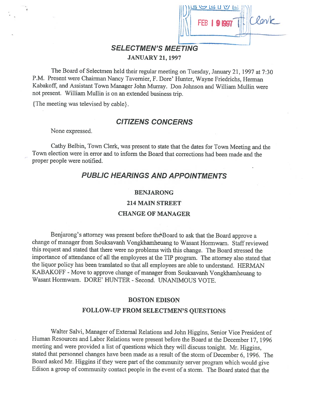

## SELECTMEN'S MEETING JANUARY 21, 1997

The Board of Selectmen held their regular meeting on Tuesday, January 21, <sup>1997</sup> at 7:30 P.M. Present were Chairman Nancy Tavemier, F. Dore' Hunter, Wayne Friedrichs, Herman Kabakoff, and Assistant Town Manager John Murray. Don Johnson and William Mullin were not present. William Mullin is on an extended business trip.

{The meeting was televised by cable}.

## CITIZENS CONCERNS

None expressed.

Cathy Belbin, Town Clerk, was present to state that the dates for Town Meeting and the Town election were in error and to inform the Board that corrections had been made and the proper people were notified.

## PUBLIC HEARINGS AND APPOINTMENTS

#### BENJARONG

#### 214 MAIN STREET

#### CHANGE OF MANAGER

Benjarong's attorney was present before the Board to ask that the Board approve a change of manager from Souksavanh Vongkhamheuang to Wasant Hormwam. Staff reviewed this request and stated that there were no problems with this change. The Board stressed the importance of attendance of all the employees at the TIP program. The attorney also stated that the liquor policy has been translated so that all employees are able to understand. HERMAN KABAKOFF - Move to approve change of manager from Souksavanh Vongkhamheuang to Wasant Hormwarn. DORE' HUNTER - Second. UNANIMOUS VOTE.

#### BOSTON EDISON

#### FOLLOW-UP FROM SELECTMEN'S QUESTIONS

Walter Salvi, Manager of External Relations and John Higgins, Senior Vice President of Human Resources and Labor Relations were present before the Board at the December 17, <sup>1996</sup> meeting and were provided <sup>a</sup> list of questions which they will discuss tonight. Mr. Higgins, stated that personnel changes have been made as <sup>a</sup> result of the storm of December 6, 1996. The Board asked Mr. Higgins if they were part of the community server program which would give Edison <sup>a</sup> group of community contact people in the event of <sup>a</sup> storm. The Board stated that the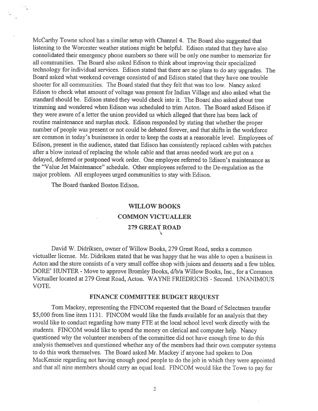McCarthy Towne school has <sup>a</sup> similar setup with Channel 4. The Board also suggested that listening to the Worcester weather stations might be helpful. Edison stated that they have also consolidated their emergency <sup>p</sup>hone numbers so there will be only one number to memorize for all communities. The Board also asked Edison to think about improving their specialized technology for individual services. Edison stated that there are no <sup>p</sup>lans to do any upgrades. The Board asked what weekend coverage consisted of and Edison stated that they have one trouble shooter for all communities. The Board stated that they felt that was too low. Nancy asked Edison to check what amount of voltage was presen<sup>t</sup> for Indian Village and also asked what the standard should be. Edison stated they would check into it. The Board also asked about tree trimming and wondered when Edison was scheduled to trim Acton. The Board asked Edison if they were aware of <sup>a</sup> letter the union provided us which alleged that there has been lack of routine maintenance and surplus stock. Edison responded by stating that whether the proper number of people was presen<sup>t</sup> or not could be debated forever, and that shifts in the workforce are common in today's businesses in order to keep the costs at <sup>a</sup> reasonable level. Employees of Edison, presen<sup>t</sup> in the audience, stated that Edison has consistently replaced cables with patches after <sup>a</sup> blow instead of replacing the whole cable and that areas needed work are pu<sup>t</sup> on <sup>a</sup> delayed, deferred or postponed work order. One employee referred to Edison's maintenance as the "Value Jet Maintenance" schedule. Other employees referred to the De-regulation as the major problem. All employees urged communities to stay with Edison.

The Board thanked Boston Edison.

# WILLOW BOOKS COMMON VICTUALLER 279 GREAT ROAD

David W. Didriksen, owner of Willow Books, 279 Great Road, seeks <sup>a</sup> common victualler license. Mr. Didriksen stated that he was happy that he was able to open <sup>a</sup> business in Acton and the store consists of <sup>a</sup> very small coffee shop with juices and desserts and <sup>a</sup> few tables. DORE' HUNTER - Move to approve Bromley Books, d/b/a Willow Books, Inc., for a Common Victualler located at 279 Great Road, Acton. WAYNE FRIEDRICHS - Second. UNANIMOUS VOTE.

#### FINANCE COMMITTEE BUDGET REQUEST

Tom Mackey, representing the FINCOM requested that the Board of Selectmen transfer \$5,000 from line item 1131. FINCOM would like the funds available for an analysis that they would like to conduct regarding how many FTE at the local school level work directly with the students. FINCOM would like to spen<sup>d</sup> the money on clerical and computer help. Nancy questioned why the volunteer members of the committee did not have enough time to do this analysis themselves and questioned whether any of the members had their own computer systems to do this work themselves. The Board asked Mr. Mackey if anyone had spoken to Don MacKenzie regarding not having enoug<sup>h</sup> goo<sup>d</sup> people to do the job in which they were appointed and that all nine members should carry an equa<sup>l</sup> load. FINCOM would like the Town to pay for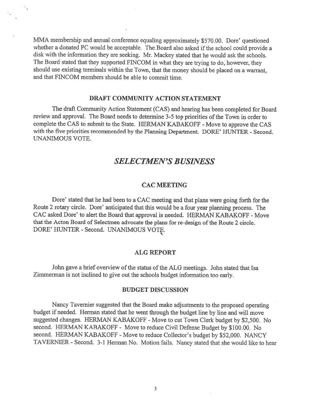MMA membership and annual conference equaling approximately \$570.00. Dore' questioned whether a donated PC would be acceptable. The Board also asked if the school could provide a disk with the information they are seeking. Mr. Mackey stated that he would ask the schools. The Board stated that they supported FINCOM in what they are trying to do, however, they should use existing terminals within the Town, that the money should be <sup>p</sup>laced on <sup>a</sup> warrant, and that FINCOM members should be able to commit time.

#### DRAFT COMMUNITY ACTION STATEMENT

The draft Community Action Statement (CAS) and hearing has been completed for Board review and approval. The Board needs to determine 3-5 top priorities of the Town in order to complete the CAS to submit to the State. HERMAN KABAKOFF - Move to approve the CAS with the five priorities recommended by the Planning Department. DORE' HUNTER - Second. UNANIMOUS VOTE.

## SELECTMEN'S BUSINESS

#### CAC MEETING

Dore' stated that he had been to <sup>a</sup> CAC meeting and that <sup>p</sup>lans were going forth for the Route <sup>2</sup> rotary circle. Dore' anticipated that this would be <sup>a</sup> four year <sup>p</sup>lanning process. The CAC asked Dore' to alert the Board that approval is needed. HERMAN KABAKOFF - Move that the Acton Board of Selectmen advocate the plans for re-design of the Route 2 circle. DORE' HUNTER - Second. UNANIMOUS VOTE.

#### ALG REPORT

John gave a brief overview of the status of the ALG meetings. John stated that Isa Zimmerman is not inclined to <sup>g</sup>ive out the schools budget information too early.

#### BUDGET DISCUSSION

Nancy Tavemier suggested that the Board make adjustments to the propose<sup>d</sup> operating budget if needed. Herman stated that he went through the budget line by line and will move suggested changes. HERMAN KABAKOFF - Move to cut Town Clerk budget by \$2,500. No second. HERMAN KABAKOFF - Move to reduce Civil Defense Budget by \$100.00. No second. HERMAN KABAKOFF - Move to reduce Collector's budget by \$52,000. NANCY TAVERNIER -Second. 3-1 Herman No. Motion fails. Nancy stated that she would like to hear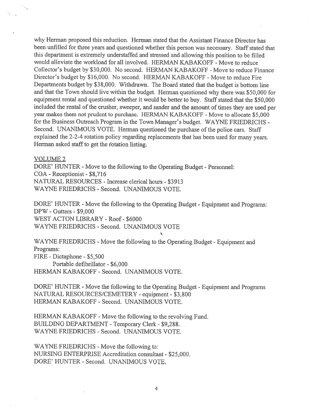why Herman proposed this reduction. Herman stated that the Assistant Finance Director has been unfilled for three years and questioned whether this person was necessary. Staff stated that this department is extremely understaffed and stressed and allowing this position to be filled would alleviate the workload for all involved. HERMAN KABAKOFF - Move to reduce Collector's budget by \$30,000. No second. HERMAN KABAKOFF - Move to reduce Finance Director's budget by \$16,000. No second. HERMAN KABAKOFF - Move to reduce Fire Departments budget by \$38,000. Withdrawn. The Board stated that the budget is bottom line and that the Town should live within the budget. Herman questioned why there was \$50,000 for equipment rental and questioned whether it would be better to buy. Staff stated that the \$50,000 included the rental of the crusher, sweeper, and sander and the amount of times they are used per year makes them not prudent to purchase. HERMAN KABAKOFF - Move to allocate \$5,000 for the Business Outreach Program in the Town Manager's budget. WAYNE FRIEDRICHS - Second. UNANIMOUS VOTE. Herman questioned the purchase of the police cars. Staff explained the 2-2-4 rotation policy regarding replacements that has been used for many years. Herman asked staff to ge<sup>t</sup> the fotation listing.

#### VOLUME 2

DORE' HUNTER - Move to the following to the Operating Budget - Personnel: COA -Receptionist - \$8,716 NATURAL RESOURCES - Increase clerical hours - \$3913 WAYNE FRIEDRICHS - Second. UNANIMOUS VOTE.

DORE' HUNTER - Move the following to the Operating Budget - Equipment and Programs: DPW - Gutters - \$9,000 WEST ACTON LIBRARY - Roof - \$6000 WAYNE FRIEDRICHS - Second. UNANIMOUS VOTE

WAYNE FRIEDRICHS - Move the following to the Operating Budget - Equipment and Programs: FIRE -Dictaphone - \$5,500

Portable defibrillator - \$6,000 HERMAN KABAKOFF - Second. UNANIMOUS VOTE.

DORE' HUNTER - Move the following to the Operating Budget - Equipment and Programs NATURAL RESOURCES/CEMETERY - equipment - \$3,800 HERMAN KABAKOFF - Second. UNANIMOUS VOTE.

HERMAN KABAKOFF - Move the following to the revolving Fund. BUILDING DEPARTMENT -Temporary Clerk - \$9,288. WAYNE FRIEDRICHS - Second. UNANIMOUS VOTE.

WAYNE FRIEDRICHS - Move the following to: NURSfNG ENTERPRISE Accreditation consultant -\$25,000. DORE' HUNTER -Second. UNANIMOUS VOTE.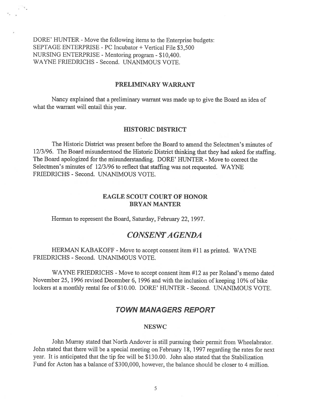DORE' HUNTER - Move the following items to the Enterprise budgets: SEPTAGE ENTERPRISE - PC Incubator + Vertical File \$3,500 NURSING ENTERPRISE - Mentoring program - \$10,400. WAYNE FRIEDRICHS - Second. UNANIMOUS VOTE.

#### PRELIMINARY WARRANT

Nancy explained that <sup>a</sup> preliminary warrant was made up to give the Board an idea of what the warrant will entail this year.

#### HISTORIC DISTRICT

The Historic District was presen<sup>t</sup> before the Board to amend the Selectmen's minutes of 12/3/96. The Board misunderstood the Historic District thinking that they had asked for staffing. The Board apologized for the misunderstanding. DORE' HUNTER - Move to correct the Selectmen's minutes of 12/3/96 to reflect that staffing was not requested. WAYNE FRIEDRICHS - Second. UNANIMOUS VOTE.

#### EAGLE SCOUT COURT OF HONOR BRYAN MANTER

Herman to represen<sup>t</sup> the Board, Saturday, February 22, 1997.

## CONSENTA GENDA

HERMAN KABAKOFF - Move to accept consent item #11 as printed. WAYNE FRIEDRICHS - Second. UNANIMOUS VOTE.

WAYNE FRIEDRICHS - Move to accept consent item #12 as per Roland's memo dated November 25, 1996 revised December 6, 1996 and with the inclusion of keeping 10% of bike lockers at a monthly rental fee of \$10.00. DORE' HUNTER - Second. UNANIMOUS VOTE.

### TOWN MANAGERS REPORT

#### NESWC

John Murray stated that North Andover is still pursuing their permit from Wheelabrator. John stated that there will be <sup>a</sup> special meeting on february 18, <sup>1997</sup> regarding the rates for next year. It is anticipated that the tip fee will be \$130.00. John also stated that the Stabilization fund for Acton has <sup>a</sup> balance of \$300,000, however, the balance should be closer to 4 million.

5